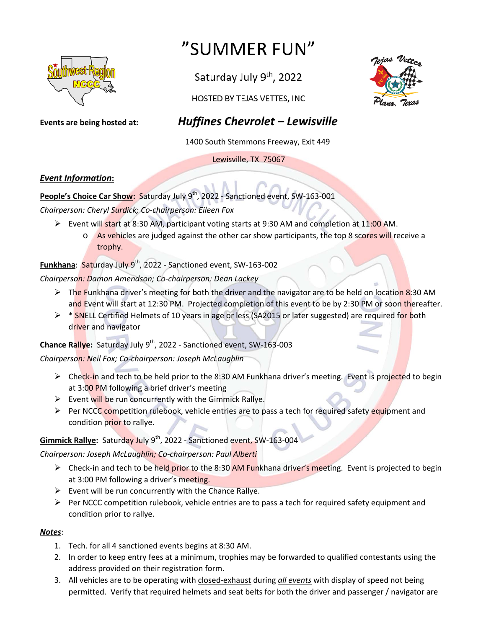

# "SUMMER FUN"

Saturday July 9<sup>th</sup>, 2022



HOSTED BY TEJAS VETTES, INC

## **Events are being hosted at:** *Huffines Chevrolet – Lewisville*

1400 South Stemmons Freeway, Exit 449

Lewisville, TX 75067

#### *Event Information***:**

People's Choice Car Show: Saturday July 9<sup>th</sup>, 2022 - Sanctioned event, SW-163-001 *Chairperson: Cheryl Surdick; Co-chairperson: Eileen Fox*

- Event will start at 8:30 AM, participant voting starts at 9:30 AM and completion at 11:00 AM.
	- o As vehicles are judged against the other car show participants, the top 8 scores will receive a trophy.

#### **Funkhana: Saturday July 9<sup>th</sup>, 2022 - Sanctioned event, SW-163-002**

*Chairperson: Damon Amendson; Co-chairperson: Dean Lackey*

- $\triangleright$  The Funkhana driver's meeting for both the driver and the navigator are to be held on location 8:30 AM and Event will start at 12:30 PM. Projected completion of this event to be by 2:30 PM or soon thereafter.
- $\triangleright$  \* SNELL Certified Helmets of 10 years in age or less (SA2015 or later suggested) are required for both driver and navigator

#### Chance Rallye: Saturday July 9<sup>th</sup>, 2022 - Sanctioned event, SW-163-003

*Chairperson: Neil Fox; Co-chairperson: Joseph McLaughlin*

- ► Check-in and tech to be held prior to the 8:30 AM Funkhana driver's meeting. Event is projected to begin at 3:00 PM following a brief driver's meeting
- $\triangleright$  Event will be run concurrently with the Gimmick Rallye.
- $\triangleright$  Per NCCC competition rulebook, vehicle entries are to pass a tech for required safety equipment and condition prior to rallye.

#### **Gimmick Rallye:** Saturday July 9<sup>th</sup>, 2022 - Sanctioned event, SW-163-004

#### *Chairperson: Joseph McLaughlin; Co-chairperson: Paul Alberti*

- $\triangleright$  Check-in and tech to be held prior to the 8:30 AM Funkhana driver's meeting. Event is projected to begin at 3:00 PM following a driver's meeting.
- $\triangleright$  Event will be run concurrently with the Chance Rallye.
- $\triangleright$  Per NCCC competition rulebook, vehicle entries are to pass a tech for required safety equipment and condition prior to rallye.

#### *Notes*:

- 1. Tech. for all 4 sanctioned events begins at 8:30 AM.
- 2. In order to keep entry fees at a minimum, trophies may be forwarded to qualified contestants using the address provided on their registration form.
- 3. All vehicles are to be operating with closed-exhaust during *all events* with display of speed not being permitted. Verify that required helmets and seat belts for both the driver and passenger / navigator are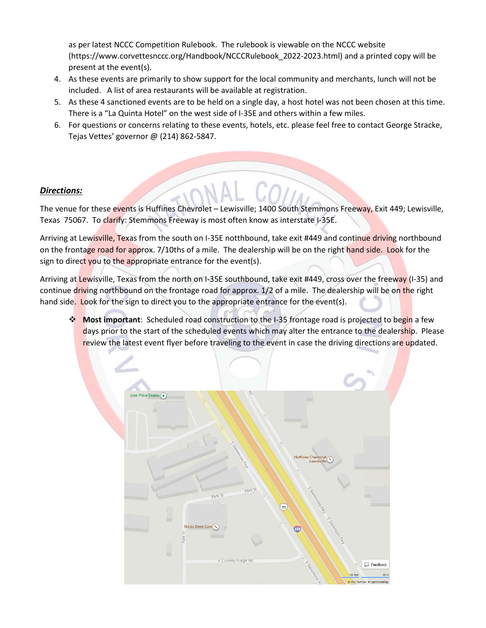as per latest NCCC Competition Rulebook. The rulebook is viewable on the NCCC website (https://www.corvettesnccc.org/Handbook/NCCCRulebook\_2022-2023.html) and a printed copy will be present at the event(s).

- 4. As these events are primarily to show support for the local community and merchants, lunch will not be included. A list of area restaurants will be available at registration.
- 5. As these 4 sanctioned events are to be held on a single day, a host hotel was not been chosen at this time. There is a "La Quinta Hotel" on the west side of I-35E and others within a few miles.
- 6. For questions or concerns relating to these events, hotels, etc. please feel free to contact George Stracke, Tejas Vettes' governor @ (214) 862-5847.

#### *Directions:*

The venue for these events is Huffines Chevrolet – Lewisville; 1400 South Stemmons Freeway, Exit 449; Lewisville, Texas 75067. To clarify: Stemmons Freeway is most often know as interstate I-35E.

Arriving at Lewisville, Texas from the south on I-35E notthbound, take exit #449 and continue driving northbound on the frontage road for approx. 7/10ths of a mile. The dealership will be on the right hand side. Look for the sign to direct you to the appropriate entrance for the event(s).

Arriving at Lewisville, Texas from the north on I-35E southbound, take exit #449, cross over the freeway (I-35) and continue driving northbound on the frontage road for approx. 1/2 of a mile. The dealership will be on the right hand side. Look for the sign to direct you to the appropriate entrance for the event(s).

 **Most important**: Scheduled road construction to the I-35 frontage road is projected to begin a few days prior to the start of the scheduled events which may alter the entrance to the dealership. Please review the latest event flyer before traveling to the event in case the driving directions are updated.